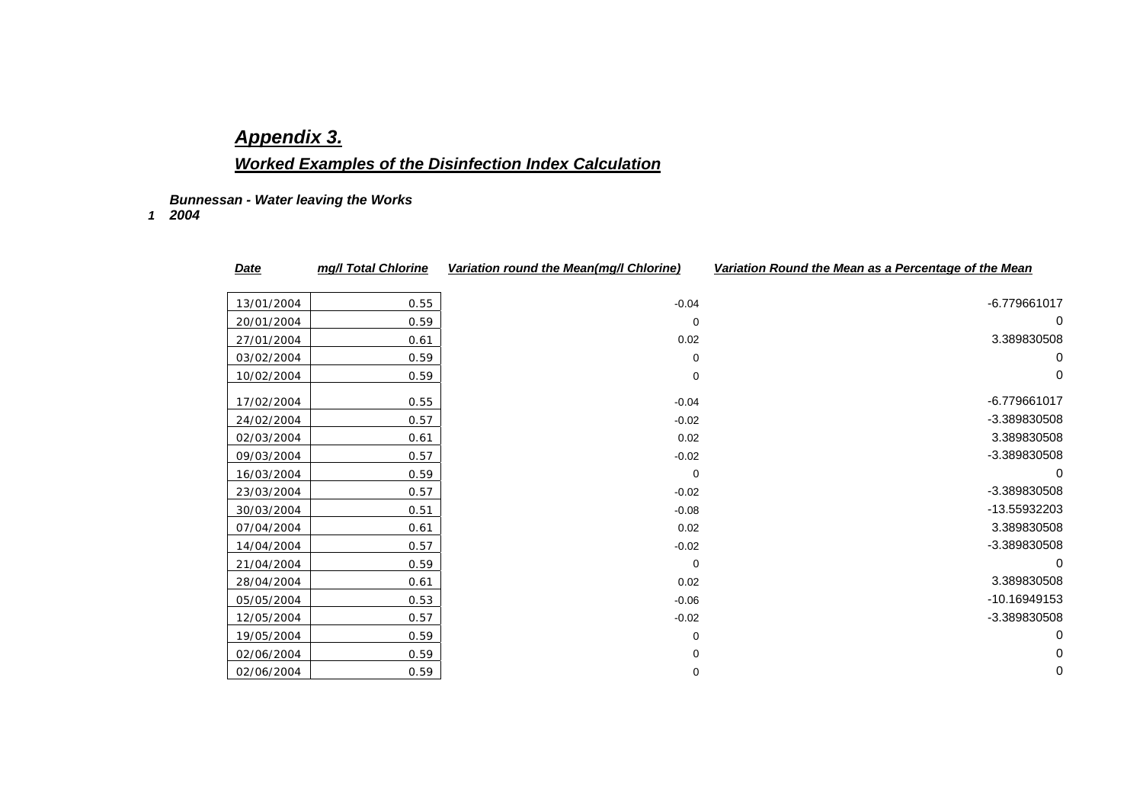## *Appendix 3.*

## *Worked Examples of the Disinfection Index Calculation*

*Bunnessan - Water leaving the Works* 

*1 2004* 

| <u>Date</u> | mg/l Total Chlorine | Variation round the Mean(mg/l Chlorine) | Variation Round the Mean as a Percentage of the Mean |
|-------------|---------------------|-----------------------------------------|------------------------------------------------------|
| 13/01/2004  | 0.55                | $-0.04$                                 | -6.779661017                                         |
| 20/01/2004  | 0.59                | 0                                       | 0                                                    |
| 27/01/2004  | 0.61                | 0.02                                    | 3.389830508                                          |
| 03/02/2004  | 0.59                | $\Omega$                                | 0                                                    |
| 10/02/2004  | 0.59                | 0                                       | $\Omega$                                             |
| 17/02/2004  | 0.55                | $-0.04$                                 | -6.779661017                                         |
| 24/02/2004  | 0.57                | $-0.02$                                 | -3.389830508                                         |
| 02/03/2004  | 0.61                | 0.02                                    | 3.389830508                                          |
| 09/03/2004  | 0.57                | $-0.02$                                 | -3.389830508                                         |
| 16/03/2004  | 0.59                | $\mathbf 0$                             | 0                                                    |
| 23/03/2004  | 0.57                | $-0.02$                                 | -3.389830508                                         |
| 30/03/2004  | 0.51                | $-0.08$                                 | -13.55932203                                         |
| 07/04/2004  | 0.61                | 0.02                                    | 3.389830508                                          |
| 14/04/2004  | 0.57                | $-0.02$                                 | -3.389830508                                         |
| 21/04/2004  | 0.59                | 0                                       | 0                                                    |
| 28/04/2004  | 0.61                | 0.02                                    | 3.389830508                                          |
| 05/05/2004  | 0.53                | $-0.06$                                 | -10.16949153                                         |
| 12/05/2004  | 0.57                | $-0.02$                                 | -3.389830508                                         |
| 19/05/2004  | 0.59                | 0                                       | 0                                                    |
| 02/06/2004  | 0.59                | 0                                       | 0                                                    |
| 02/06/2004  | 0.59                | 0                                       | 0                                                    |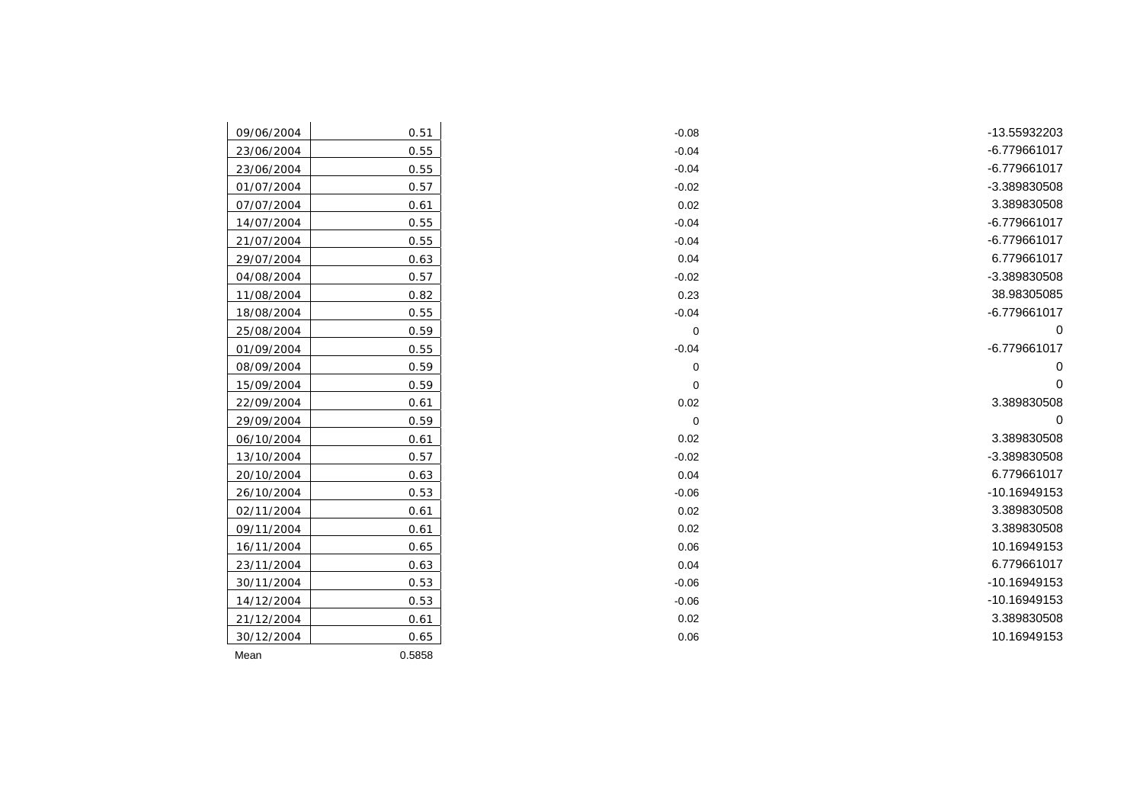| 09/06/2004 | 0.51   | $-0.08$     | -13.55932203 |
|------------|--------|-------------|--------------|
| 23/06/2004 | 0.55   | $-0.04$     | -6.779661017 |
| 23/06/2004 | 0.55   | $-0.04$     | -6.779661017 |
| 01/07/2004 | 0.57   | $-0.02$     | -3.389830508 |
| 07/07/2004 | 0.61   | 0.02        | 3.389830508  |
| 14/07/2004 | 0.55   | $-0.04$     | -6.779661017 |
| 21/07/2004 | 0.55   | $-0.04$     | -6.779661017 |
| 29/07/2004 | 0.63   | 0.04        | 6.779661017  |
| 04/08/2004 | 0.57   | $-0.02$     | -3.389830508 |
| 11/08/2004 | 0.82   | 0.23        | 38.98305085  |
| 18/08/2004 | 0.55   | $-0.04$     | -6.779661017 |
| 25/08/2004 | 0.59   | $\mathbf 0$ | 0            |
| 01/09/2004 | 0.55   | $-0.04$     | -6.779661017 |
| 08/09/2004 | 0.59   | 0           | $\mathbf 0$  |
| 15/09/2004 | 0.59   | $\mathbf 0$ | $\Omega$     |
| 22/09/2004 | 0.61   | 0.02        | 3.389830508  |
| 29/09/2004 | 0.59   | $\mathbf 0$ | $\Omega$     |
| 06/10/2004 | 0.61   | 0.02        | 3.389830508  |
| 13/10/2004 | 0.57   | $-0.02$     | -3.389830508 |
| 20/10/2004 | 0.63   | 0.04        | 6.779661017  |
| 26/10/2004 | 0.53   | $-0.06$     | -10.16949153 |
| 02/11/2004 | 0.61   | 0.02        | 3.389830508  |
| 09/11/2004 | 0.61   | 0.02        | 3.389830508  |
| 16/11/2004 | 0.65   | 0.06        | 10.16949153  |
| 23/11/2004 | 0.63   | 0.04        | 6.779661017  |
| 30/11/2004 | 0.53   | $-0.06$     | -10.16949153 |
| 14/12/2004 | 0.53   | $-0.06$     | -10.16949153 |
| 21/12/2004 | 0.61   | 0.02        | 3.389830508  |
| 30/12/2004 | 0.65   | 0.06        | 10.16949153  |
| Mean       | 0.5858 |             |              |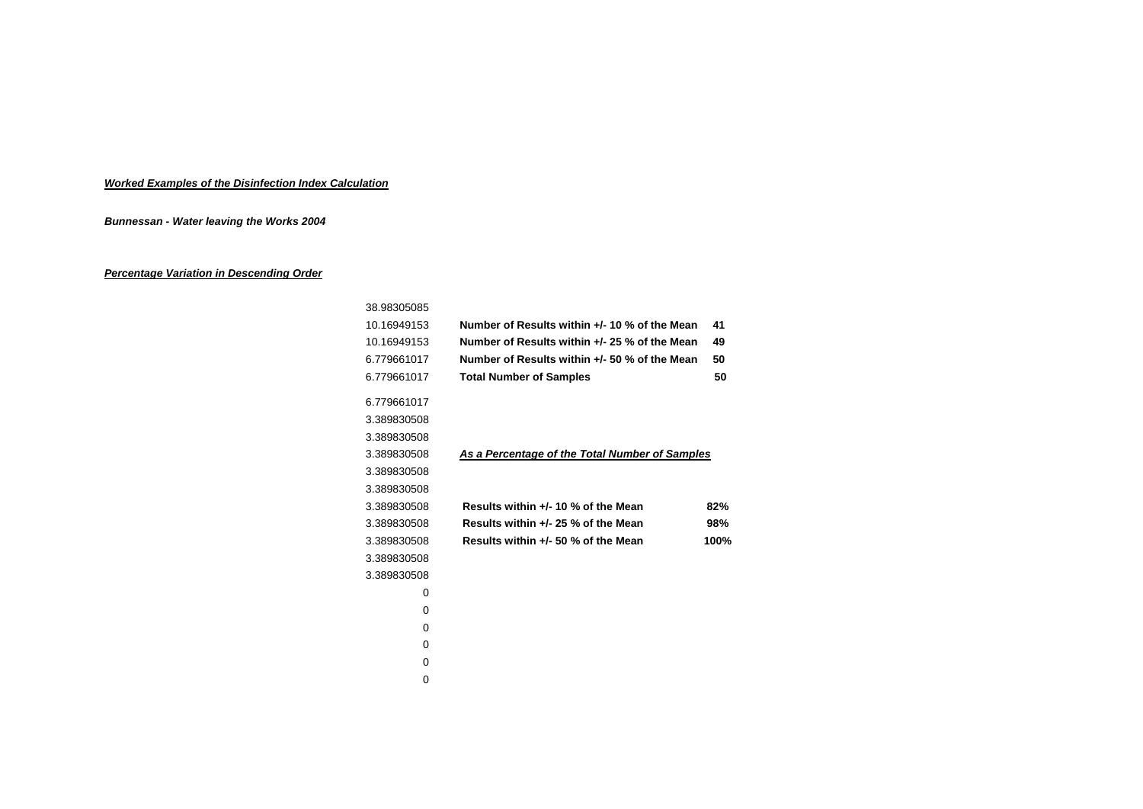## *Worked Examples of the Disinfection Index Calculation*

*Bunnessan - Water leaving the Works 2004* 

## *Percentage Variation in Descending Order*

| 38.98305085 |                                                |      |
|-------------|------------------------------------------------|------|
| 10.16949153 | Number of Results within +/- 10 % of the Mean  | 41   |
| 10.16949153 | Number of Results within +/- 25 % of the Mean  | 49   |
| 6.779661017 | Number of Results within +/- 50 % of the Mean  | 50   |
| 6.779661017 | <b>Total Number of Samples</b>                 | 50   |
| 6.779661017 |                                                |      |
| 3.389830508 |                                                |      |
| 3.389830508 |                                                |      |
| 3.389830508 | As a Percentage of the Total Number of Samples |      |
| 3.389830508 |                                                |      |
| 3.389830508 |                                                |      |
| 3.389830508 | Results within $+/-$ 10 % of the Mean          | 82%  |
| 3.389830508 | Results within +/- 25 % of the Mean            | 98%  |
| 3.389830508 | Results within +/- 50 % of the Mean            | 100% |
| 3.389830508 |                                                |      |
| 3.389830508 |                                                |      |
| 0           |                                                |      |
| 0           |                                                |      |
| 0           |                                                |      |
| 0           |                                                |      |
| 0           |                                                |      |
| 0           |                                                |      |